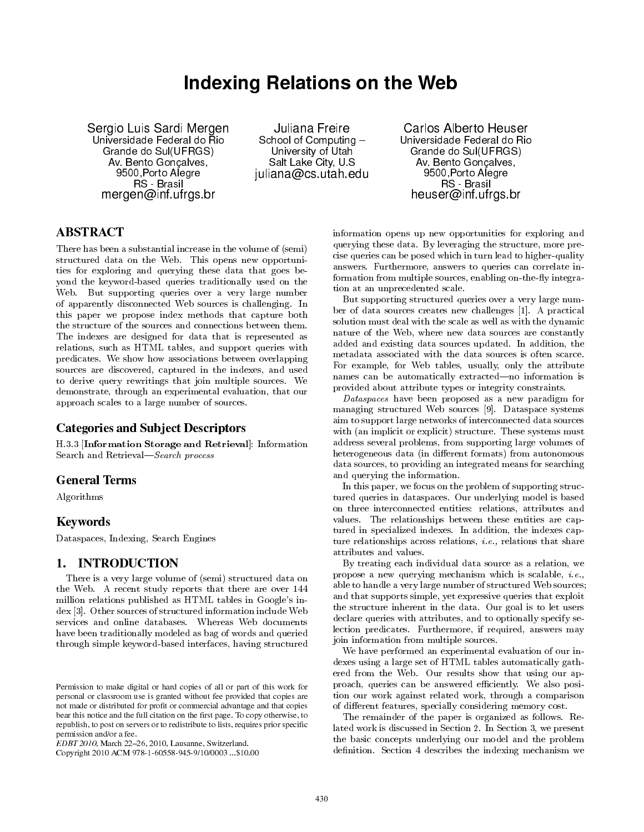# Indexing Relations on the Web

Sergio Luis Sardi Mergen Universidade Federal do Rio Grande do Sul(UFRGS) Av. Bento Gonçalves, 9500,Porto Alegre RS - Brasil mergen@inf.ufrgs.br

Juliana Freire School of Computing University of Utah Salt Lake City, U.S juliana@cs.utah.edu

Carlos Alberto Heuser Universidade Federal do Rio Grande do Sul(UFRGS) Av. Bento Gonçalves, 9500,Porto Alegre RS - Brasil heuser@inf.ufrgs.br

# ABSTRACT

There has been a substantial increase in the volume of (semi) structured data on the Web. This opens new opportunities for exploring and querying these data that goes beyond the keyword-based queries traditionally used on the Web. But supporting queries over a very large number of apparently disconnected Web sources is challenging. In this paper we propose index methods that capture both the structure of the sources and connections between them. The indexes are designed for data that is represented as relations, such as HTML tables, and support queries with predicates. We show how associations between overlapping sources are discovered, captured in the indexes, and used to derive query rewritings that join multiple sources. We demonstrate, through an experimental evaluation, that our approach scales to a large number of sources.

# Categories and Subject Descriptors

H.3.3 [Information Storage and Retrieval]: Information Search and Retrieval-Search process

# General Terms

Algorithms

# Keywords

Dataspaces, Indexing, Search Engines

# 1. INTRODUCTION

There is a very large volume of (semi) structured data on the Web. A recent study reports that there are over 144 million relations published as HTML tables in Google's index [3]. Other sources of structured information include Web services and online databases. Whereas Web documents have been traditionally modeled as bag of words and queried through simple keyword-based interfaces, having structured

Copyright 2010 ACM 978-1-60558-945-9/10/0003 ...\$10.00

information opens up new opportunities for exploring and querying these data. By leveraging the structure, more precise queries can be posed which in turn lead to higher-quality answers. Furthermore, answers to queries can correlate information from multiple sources, enabling on-the-fly integration at an unprecedented scale.

But supporting structured queries over a very large number of data sources creates new challenges [1]. A practical solution must deal with the scale as well as with the dynamic nature of the Web, where new data sources are constantly added and existing data sources updated. In addition, the metadata associated with the data sources is often scarce. For example, for Web tables, usually, only the attribute names can be automatically extracted-no information is provided about attribute types or integrity constraints.

Dataspaces have been proposed as a new paradigm for managing structured Web sources [9]. Dataspace systems aim to support large networks of interconnected data sources with (an implicit or explicit) structure. These systems must address several problems, from supporting large volumes of heterogeneous data (in different formats) from autonomous data sources, to providing an integrated means for searching and querying the information.

In this paper, we focus on the problem of supporting structured queries in dataspaces. Our underlying model is based on three interconnected entities: relations, attributes and values. The relationships between these entities are captured in specialized indexes. In addition, the indexes capture relationships across relations, i.e., relations that share attributes and values.

By treating each individual data source as a relation, we propose a new querying mechanism which is scalable, i.e., able to handle a very large number of structured Web sources; and that supports simple, yet expressive queries that exploit the structure inherent in the data. Our goal is to let users declare queries with attributes, and to optionally specify selection predicates. Furthermore, if required, answers may join information from multiple sources.

We have performed an experimental evaluation of our indexes using a large set of HTML tables automatically gathered from the Web. Our results show that using our approach, queries can be answered efficiently. We also position our work against related work, through a comparison of different features, specially considering memory cost.

The remainder of the paper is organized as follows. Related work is discussed in Section 2. In Section 3, we present the basic concepts underlying our model and the problem definition. Section 4 describes the indexing mechanism we

Permission to make digital or hard copies of all or part of this work for personal or classroom use is granted without fee provided that copies are not made or distributed for profit or commercial advantage and that copies bear this notice and the full citation on the first page. To copy otherwise, to republish, to post on servers or to redistribute to lists, requires prior specific permission and/or a fee.

 $EDBT 2010$ , March 22-26, 2010, Lausanne, Switzerland.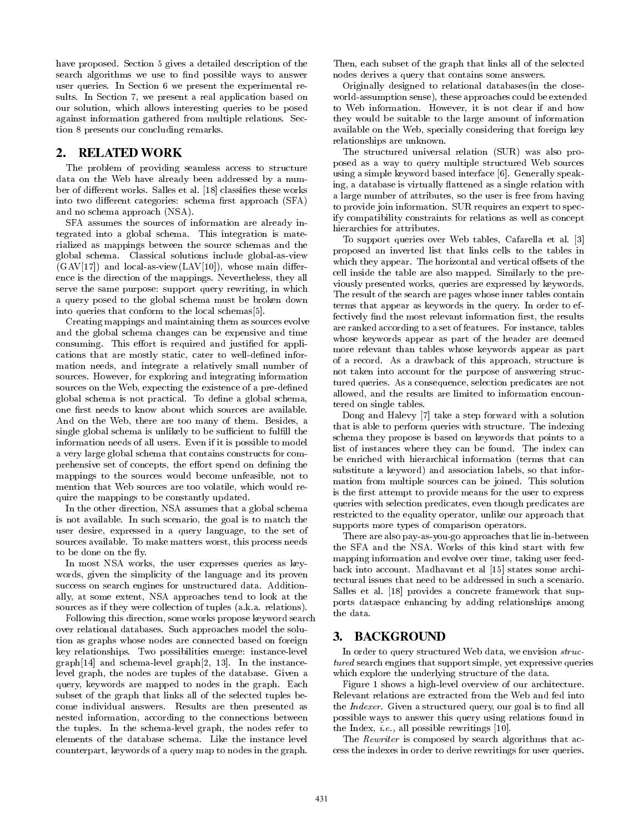have proposed. Section 5 gives a detailed description of the search algorithms we use to find possible ways to answer user queries. In Section 6 we present the experimental results. In Section 7, we present a real application based on our solution, which allows interesting queries to be posed against information gathered from multiple relations. Section 8 presents our concluding remarks.

## 2. RELATED WORK

The problem of providing seamless access to structure data on the Web have already been addressed by a number of different works. Salles et al. [18] classifies these works into two different categories: schema first approach (SFA) and no schema approach (NSA).

SFA assumes the sources of information are already integrated into a global schema. This integration is materialized as mappings between the source schemas and the global schema. Classical solutions include global-as-view  $(GAV[17])$  and local-as-view $(LAV[10])$ , whose main difference is the direction of the mappings. Nevertheless, they all serve the same purpose: support query rewriting, in which a query posed to the global schema must be broken down into queries that conform to the local schemas[5].

Creating mappings and maintaining them as sources evolve and the global schema changes can be expensive and time consuming. This effort is required and justified for applications that are mostly static, cater to well-defined information needs, and integrate a relatively small number of sources. However, for exploring and integrating information sources on the Web, expecting the existence of a pre-defined global schema is not practical. To define a global schema, one first needs to know about which sources are available. And on the Web, there are too many of them. Besides, a single global schema is unlikely to be sufficient to fulfill the information needs of all users. Even if it is possible to model a very large global schema that contains constructs for comprehensive set of concepts, the effort spend on defining the mappings to the sources would become unfeasible, not to mention that Web sources are too volatile, which would require the mappings to be constantly updated.

In the other direction, NSA assumes that a global schema is not available. In such scenario, the goal is to match the user desire, expressed in a query language, to the set of sources available. To make matters worst, this process needs to be done on the fly.

In most NSA works, the user expresses queries as keywords, given the simplicity of the language and its proven success on search engines for unstructured data. Additionally, at some extent, NSA approaches tend to look at the sources as if they were collection of tuples (a.k.a. relations).

Following this direction, some works propose keyword search over relational databases. Such approaches model the solution as graphs whose nodes are connected based on foreign key relationships. Two possibilities emerge: instance-level graph[14] and schema-level graph[2, 13]. In the instancelevel graph, the nodes are tuples of the database. Given a query, keywords are mapped to nodes in the graph. Each subset of the graph that links all of the selected tuples become individual answers. Results are then presented as nested information, according to the connections between the tuples. In the schema-level graph, the nodes refer to elements of the database schema. Like the instance level counterpart, keywords of a query map to nodes in the graph.

Then, each subset of the graph that links all of the selected nodes derives a query that contains some answers.

Originally designed to relational databases(in the closeworld-assumption sense), these approaches could be extended to Web information. However, it is not clear if and how they would be suitable to the large amount of information available on the Web, specially considering that foreign key relationships are unknown.

The structured universal relation (SUR) was also proposed as a way to query multiple structured Web sources using a simple keyword based interface [6]. Generally speaking, a database is virtually flattened as a single relation with a large number of attributes, so the user is free from having to provide join information. SUR requires an expert to specify compatibility constraints for relations as well as concept hierarchies for attributes.

To support queries over Web tables, Cafarella et al. [3] proposed an inverted list that links cells to the tables in which they appear. The horizontal and vertical offsets of the cell inside the table are also mapped. Similarly to the previously presented works, queries are expressed by keywords. The result of the search are pages whose inner tables contain terms that appear as keywords in the query. In order to effectively find the most relevant information first, the results are ranked according to a set of features. For instance, tables whose keywords appear as part of the header are deemed more relevant than tables whose keywords appear as part of a record. As a drawback of this approach, structure is not taken into account for the purpose of answering structured queries. As a consequence, selection predicates are not allowed, and the results are limited to information encountered on single tables.

Dong and Halevy [7] take a step forward with a solution that is able to perform queries with structure. The indexing schema they propose is based on keywords that points to a list of instances where they can be found. The index can be enriched with hierarchical information (terms that can substitute a keyword) and association labels, so that information from multiple sources can be joined. This solution is the first attempt to provide means for the user to express queries with selection predicates, even though predicates are restricted to the equality operator, unlike our approach that supports more types of comparison operators.

There are also pay-as-you-go approaches that lie in-between the SFA and the NSA. Works of this kind start with few mapping information and evolve over time, taking user feedback into account. Madhavant et al [15] states some architectural issues that need to be addressed in such a scenario. Salles et al. [18] provides a concrete framework that supports dataspace enhancing by adding relationships among the data.

#### 3. BACKGROUND

In order to query structured Web data, we envision structured search engines that support simple, yet expressive queries which explore the underlying structure of the data.

Figure 1 shows a high-level overview of our architecture. Relevant relations are extracted from the Web and fed into the *Indexer*. Given a structured query, our goal is to find all possible ways to answer this query using relations found in the Index, i.e., all possible rewritings [10].

The *Rewriter* is composed by search algorithms that access the indexes in order to derive rewritings for user queries.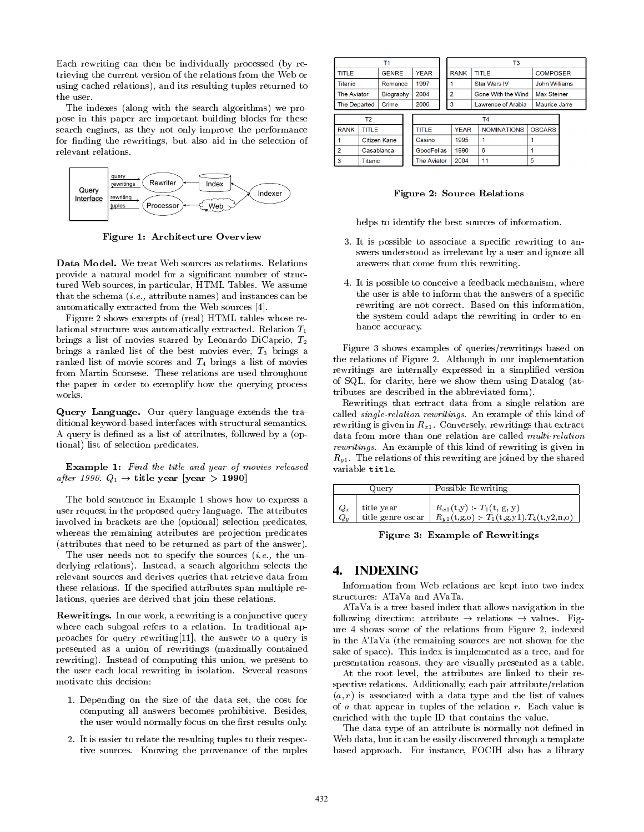Each rewriting can then be individually processed (by retrieving the current version of the relations from the Web or using cached relations), and its resulting tuples returned to the user.

The indexes (along with the search algorithms) we propose in this paper are important building blocks for these search engines, as they not only improve the performance for finding the rewritings, but also aid in the selection of relevant relations.



Figure 1: Architecture Overview

Data Model. We treat Web sources as relations. Relations provide a natural model for a signicant number of structured Web sources, in particular, HTML Tables. We assume that the schema (i.e., attribute names) and instances can be automatically extracted from the Web sources [4].

Figure 2 shows excerpts of (real) HTML tables whose relational structure was automatically extracted. Relation  $T_1$ brings a list of movies starred by Leonardo DiCaprio, T<sup>2</sup> brings a ranked list of the best movies ever,  $T_3$  brings a ranked list of movie scores and  $T_4$  brings a list of movies from Martin Scorsese. These relations are used throughout the paper in order to exemplify how the querying process works.

Query Language. Our query language extends the traditional keyword-based interfaces with structural semantics. A query is defined as a list of attributes, followed by a (optional) list of selection predicates.

Example 1: Find the title and year of movies released after 1990.  $Q_1 \rightarrow$  title year [year > 1990]

The bold sentence in Example 1 shows how to express a user request in the proposed query language. The attributes involved in brackets are the (optional) selection predicates, whereas the remaining attributes are projection predicates (attributes that need to be returned as part of the answer).

The user needs not to specify the sources  $(i.e., the un$ derlying relations). Instead, a search algorithm selects the relevant sources and derives queries that retrieve data from these relations. If the specied attributes span multiple relations, queries are derived that join these relations.

Rewritings. In our work, a rewriting is a conjunctive query where each subgoal refers to a relation. In traditional approaches for query rewriting[11], the answer to a query is presented as a union of rewritings (maximally contained rewriting). Instead of computing this union, we present to the user each local rewriting in isolation. Several reasons motivate this decision:

- 1. Depending on the size of the data set, the cost for computing all answers becomes prohibitive. Besides, the user would normally focus on the first results only.
- 2. It is easier to relate the resulting tuples to their respective sources. Knowing the provenance of the tuples

|                                                                                                                                       |         | Τ1           |                    |             |                         | T <sub>3</sub>      |                      |                      |  |  |
|---------------------------------------------------------------------------------------------------------------------------------------|---------|--------------|--------------------|-------------|-------------------------|---------------------|----------------------|----------------------|--|--|
| <b>TITLE</b><br><b>Titanic</b><br><b>The Aviator</b><br><b>The Departed</b><br>T <sub>2</sub><br><b>RANK</b><br>TITLE<br>Citizen Kane |         | <b>GENRE</b> | <b>YEAR</b>        | <b>RANK</b> |                         | <b>TITLE</b>        | <b>COMPOSER</b>      |                      |  |  |
|                                                                                                                                       |         | Romance      | 1997               |             |                         | <b>Star Wars IV</b> | <b>John Williams</b> |                      |  |  |
|                                                                                                                                       |         | Biography    | 2004               |             | $\overline{a}$          | Gone With the Wind  | <b>Max Steiner</b>   |                      |  |  |
|                                                                                                                                       |         | Crime        | 2006               |             | 3<br>Lawrence of Arabia |                     |                      | <b>Maurice Jarre</b> |  |  |
|                                                                                                                                       |         |              |                    |             | T4                      |                     |                      |                      |  |  |
|                                                                                                                                       |         |              | <b>TITLE</b>       |             | <b>YEAR</b>             | <b>NOMINATIONS</b>  | <b>OSCARS</b>        |                      |  |  |
|                                                                                                                                       |         |              | Casino             |             | 1995                    |                     |                      |                      |  |  |
| $\overline{a}$                                                                                                                        |         | Casablanca   | <b>GoodFellas</b>  |             | 1990                    | 6                   |                      |                      |  |  |
| 3                                                                                                                                     | Titanic |              | <b>The Aviator</b> |             | 2004                    | 11                  | 5                    |                      |  |  |

Figure 2: Source Relations

helps to identify the best sources of information.

- 3. It is possible to associate a specic rewriting to answers understood as irrelevant by a user and ignore all answers that come from this rewriting.
- 4. It is possible to conceive a feedback mechanism, where the user is able to inform that the answers of a specific rewriting are not correct. Based on this information, the system could adapt the rewriting in order to enhance accuracy.

Figure 3 shows examples of queries/rewritings based on the relations of Figure 2. Although in our implementation rewritings are internally expressed in a simplied version of SQL, for clarity, here we show them using Datalog (attributes are described in the abbreviated form).

Rewritings that extract data from a single relation are called single-relation rewritings. An example of this kind of rewriting is given in  $R_{x1}$ . Conversely, rewritings that extract data from more than one relation are called multi-relation rewritings. An example of this kind of rewriting is given in  $R_{v1}$ . The relations of this rewriting are joined by the shared variable title.

|       | Query             | Possible Rewriting                                 |
|-------|-------------------|----------------------------------------------------|
| $Q_x$ | title year        | $R_{x1}(t,y) = T_1(t, g, y)$                       |
| $Q_u$ | title genre oscar | $R_{y1}^{(1)}(t,g,o) = T_1(t,g,y1), T_4(t,y2,n,o)$ |

Figure 3: Example of Rewritings

#### 4. INDEXING

Information from Web relations are kept into two index structures: ATaVa and AVaTa.

ATaVa is a tree based index that allows navigation in the following direction: attribute  $\rightarrow$  relations  $\rightarrow$  values. Figure 4 shows some of the relations from Figure 2, indexed in the ATaVa (the remaining sources are not shown for the sake of space). This index is implemented as a tree, and for presentation reasons, they are visually presented as a table.

At the root level, the attributes are linked to their respective relations. Additionally, each pair attribute/relation  $(a, r)$  is associated with a data type and the list of values of a that appear in tuples of the relation r. Each value is enriched with the tuple ID that contains the value.

The data type of an attribute is normally not defined in Web data, but it can be easily discovered through a template based approach. For instance, FOCIH also has a library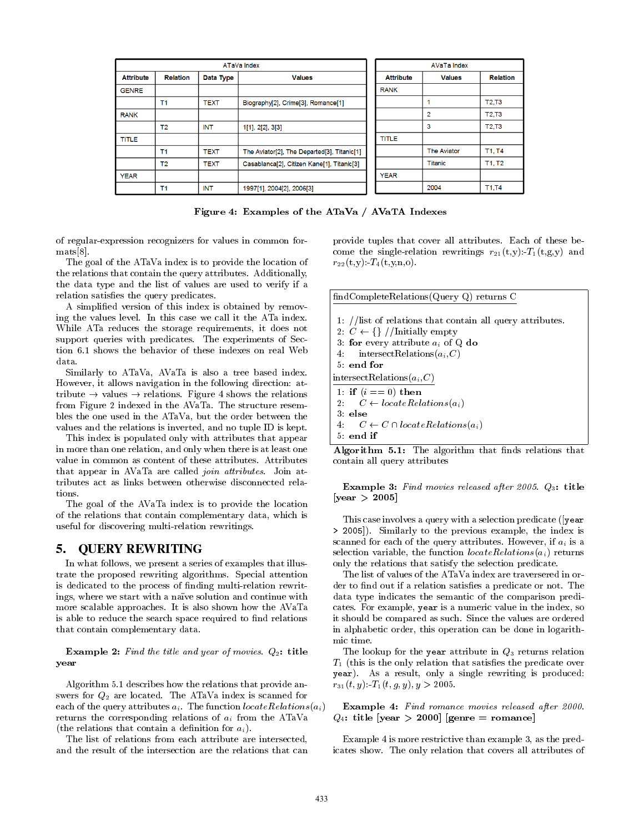|                                                  |                |             | ATaVa Index                                 |                                   | <b>AVaTa Index</b> |                 |  |
|--------------------------------------------------|----------------|-------------|---------------------------------------------|-----------------------------------|--------------------|-----------------|--|
| <b>Attribute</b><br><b>Relation</b><br>Data Type |                |             | <b>Values</b>                               | <b>Attribute</b><br><b>Values</b> |                    | <b>Relation</b> |  |
| <b>GENRE</b>                                     |                |             |                                             | <b>RANK</b>                       |                    |                 |  |
|                                                  | T <sub>1</sub> | <b>TEXT</b> | Biography[2], Crime[3], Romance[1]          |                                   |                    | <b>T2,T3</b>    |  |
| <b>RANK</b>                                      |                |             |                                             |                                   | 2                  | <b>T2.T3</b>    |  |
|                                                  | T <sub>2</sub> | <b>INT</b>  | 1[1], 2[2], 3[3]                            |                                   | 3                  | <b>T2.T3</b>    |  |
| <b>TITLE</b>                                     |                |             |                                             | <b>TITLE</b>                      |                    |                 |  |
|                                                  | T <sub>1</sub> | <b>TEXT</b> | The Aviator[2], The Departed[3], Titanic[1] |                                   | <b>The Aviator</b> | T1, T4          |  |
|                                                  | T <sub>2</sub> | <b>TEXT</b> | Casablanca[2], Citizen Kane[1], Titanic[3]  |                                   | Titanic            | T1, T2          |  |
| <b>YEAR</b>                                      |                |             |                                             | <b>YEAR</b>                       |                    |                 |  |
|                                                  | T <sub>1</sub> | <b>INT</b>  | 1997[1], 2004[2], 2006[3]                   |                                   | 2004               | <b>T1,T4</b>    |  |

Figure 4: Examples of the ATaVa / AVaTA Indexes

of regular-expression recognizers for values in common formats[8].

The goal of the ATaVa index is to provide the location of the relations that contain the query attributes. Additionally, the data type and the list of values are used to verify if a relation satisfies the query predicates.

A simplied version of this index is obtained by removing the values level. In this case we call it the ATa index. While ATa reduces the storage requirements, it does not support queries with predicates. The experiments of Section 6.1 shows the behavior of these indexes on real Web data.

Similarly to ATaVa, AVaTa is also a tree based index. However, it allows navigation in the following direction: attribute  $\rightarrow$  values  $\rightarrow$  relations. Figure 4 shows the relations from Figure 2 indexed in the AVaTa. The structure resembles the one used in the ATaVa, but the order between the values and the relations is inverted, and no tuple ID is kept.

This index is populated only with attributes that appear in more than one relation, and only when there is at least one value in common as content of these attributes. Attributes that appear in AVaTa are called *join attributes*. Join attributes act as links between otherwise disconnected relations.

The goal of the AVaTa index is to provide the location of the relations that contain complementary data, which is useful for discovering multi-relation rewritings.

## 5. QUERY REWRITING

In what follows, we present a series of examples that illustrate the proposed rewriting algorithms. Special attention is dedicated to the process of nding multi-relation rewritings, where we start with a naïve solution and continue with more scalable approaches. It is also shown how the AVaTa is able to reduce the search space required to find relations that contain complementary data.

**Example 2:** Find the title and year of movies.  $Q_2$ : title year

Algorithm 5.1 describes how the relations that provide answers for  $Q_2$  are located. The ATaVa index is scanned for each of the query attributes  $a_i$ . The function  $locate Relations(a_i)$ returns the corresponding relations of  $a_i$  from the ATaVa (the relations that contain a definition for  $a_i$ ).

The list of relations from each attribute are intersected, and the result of the intersection are the relations that can provide tuples that cover all attributes. Each of these become the single-relation rewritings  $r_{21}(t,y)$ :  $T_1(t,g,y)$  and  $r_{22}(t,y)$ :  $T_4(t,y,n,0)$ .



Algorithm 5.1: The algorithm that finds relations that contain all query attributes

Example 3: Find movies released after 2005. Q3: title  $[year > 2005]$ 

This case involves a query with a selection predicate ([year > 2005]). Similarly to the previous example, the index is scanned for each of the query attributes. However, if  $a_i$  is a selection variable, the function  $locate Relations(a_i)$  returns only the relations that satisfy the selection predicate.

The list of values of the ATaVa index are traversered in order to find out if a relation satisfies a predicate or not. The data type indicates the semantic of the comparison predicates. For example, year is a numeric value in the index, so it should be compared as such. Since the values are ordered in alphabetic order, this operation can be done in logarithmic time.

The lookup for the year attribute in  $Q_3$  returns relation  $T_1$  (this is the only relation that satisfies the predicate over year). As a result, only a single rewriting is produced:  $r_{31}(t, y): T_1(t, g, y), y > 2005.$ 

Example 4: Find romance movies released after 2000.  $Q_4$ : title [year > 2000] [genre = romance]

Example 4 is more restrictive than example 3, as the predicates show. The only relation that covers all attributes of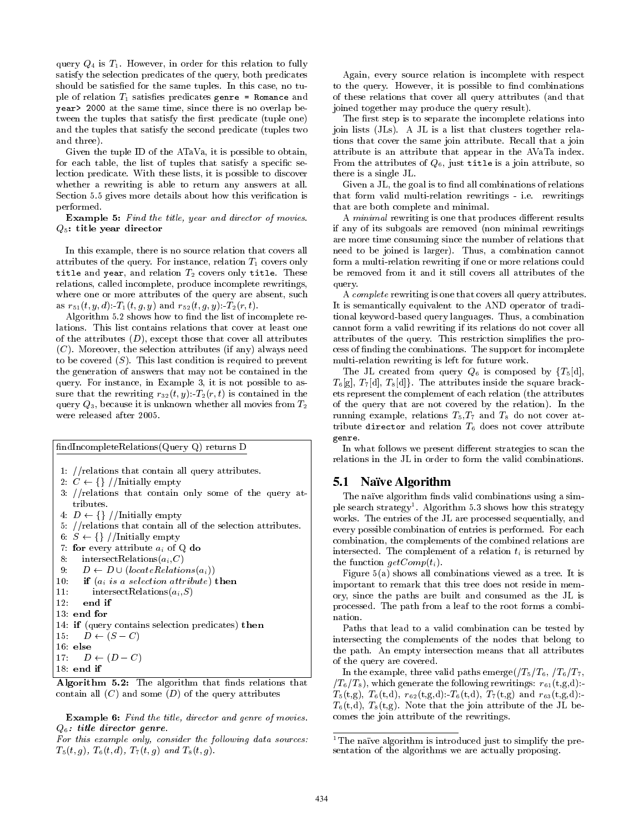query  $Q_4$  is  $T_1$ . However, in order for this relation to fully satisfy the selection predicates of the query, both predicates should be satisfied for the same tuples. In this case, no tuple of relation  $T_1$  satisfies predicates genre = Romance and year> 2000 at the same time, since there is no overlap between the tuples that satisfy the first predicate (tuple one) and the tuples that satisfy the second predicate (tuples two and three).

Given the tuple ID of the ATaVa, it is possible to obtain, for each table, the list of tuples that satisfy a specific selection predicate. With these lists, it is possible to discover whether a rewriting is able to return any answers at all. Section 5.5 gives more details about how this verification is performed.

Example 5: Find the title, year and director of movies.  $Q_5$ : title year director

In this example, there is no source relation that covers all attributes of the query. For instance, relation  $T_1$  covers only title and year, and relation  $T_2$  covers only title. These relations, called incomplete, produce incomplete rewritings, where one or more attributes of the query are absent, such as  $r_{51}(t, y, d)$ :-T<sub>1</sub> $(t, g, y)$  and  $r_{52}(t, g, y)$ :-T<sub>2</sub> $(r, t)$ .

Algorithm 5.2 shows how to find the list of incomplete relations. This list contains relations that cover at least one of the attributes  $(D)$ , except those that cover all attributes  $(C)$ . Moreover, the selection attributes (if any) always need to be covered  $(S)$ . This last condition is required to prevent the generation of answers that may not be contained in the query. For instance, in Example 3, it is not possible to assure that the rewriting  $r_{32}(t, y): T_2(r, t)$  is contained in the query  $Q_3$ , because it is unknown whether all movies from  $T_2$ were released after 2005.

ndIncompleteRelations(Query Q) returns D

- 1: //relations that contain all query attributes.
- 2:  $C \leftarrow \{\} /$ Initially empty
- 3: //relations that contain only some of the query attributes.
- 4:  $D \leftarrow \{\}\!/$ /Initially empty
- 5: //relations that contain all of the selection attributes.
- 6:  $S \leftarrow \{\}\!/$ /Initially empty
- 7: for every attribute  $a_i$  of Q do<br>8: intersect Relations( $a_i$ , $C$ )
- 8: intersect Relations $(a_i, C)$ <br>9:  $D \leftarrow D \cup (locatedi$
- 
- 9:  $D \leftarrow D \cup (locateded relations(a_i))$ <br>10: **if**  $(a_i \text{ is a selection attribute})$ 10: **if**  $(a_i$  is a selection attribute) **then**<br>11: **intersectRelations** $(a_i, S)$
- 11: intersectRelations $(a_i, S)$ <br>12: **end if**
- end if
- 13: end for
- 14: if (query contains selection predicates) then
- 15:  $D \leftarrow (S C)$
- 16: else
- 17:  $D \leftarrow (D C)$
- 18: end if

Algorithm 5.2: The algorithm that finds relations that contain all  $(C)$  and some  $(D)$  of the query attributes

Example 6: Find the title, director and genre of movies.  $Q_6$ : title director genre.

For this example only, consider the following data sources:  $T_5(t, g)$ ,  $T_6(t, d)$ ,  $T_7(t, g)$  and  $T_8(t, g)$ .

Again, every source relation is incomplete with respect to the query. However, it is possible to find combinations of these relations that cover all query attributes (and that joined together may produce the query result).

The first step is to separate the incomplete relations into join lists (JLs). A JL is a list that clusters together relations that cover the same join attribute. Recall that a join attribute is an attribute that appear in the AVaTa index. From the attributes of  $Q_6$ , just title is a join attribute, so there is a single JL.

Given a JL, the goal is to find all combinations of relations that form valid multi-relation rewritings - i.e. rewritings that are both complete and minimal.

A *minimal* rewriting is one that produces different results if any of its subgoals are removed (non minimal rewritings are more time consuming since the number of relations that need to be joined is larger). Thus, a combination cannot form a multi-relation rewriting if one or more relations could be removed from it and it still covers all attributes of the query.

A complete rewriting is one that covers all query attributes. It is semantically equivalent to the AND operator of traditional keyword-based query languages. Thus, a combination cannot form a valid rewriting if its relations do not cover all attributes of the query. This restriction simplifies the process of nding the combinations. The support for incomplete multi-relation rewriting is left for future work.

The JL created from query  $Q_6$  is composed by  ${T_5[d]}$ ,  $T_6[g], T_7[d], T_8[d]$ . The attributes inside the square brackets represent the complement of each relation (the attributes of the query that are not covered by the relation). In the running example, relations  $T_5,T_7$  and  $T_8$  do not cover attribute director and relation  $T_6$  does not cover attribute genre.

In what follows we present different strategies to scan the relations in the JL in order to form the valid combinations.

#### 5.1 Naïve Algorithm

The naïve algorithm finds valid combinations using a simple search strategy<sup>1</sup>. Algorithm 5.3 shows how this strategy works. The entries of the JL are processed sequentially, and every possible combination of entries is performed. For each combination, the complements of the combined relations are intersected. The complement of a relation  $t_i$  is returned by the function  $getComp(t_i)$ .

Figure 5(a) shows all combinations viewed as a tree. It is important to remark that this tree does not reside in memory, since the paths are built and consumed as the JL is processed. The path from a leaf to the root forms a combination.

Paths that lead to a valid combination can be tested by intersecting the complements of the nodes that belong to the path. An empty intersection means that all attributes of the query are covered.

In the example, three valid paths emerge( $/T_5/T_6$ ,  $/T_6/T_7$ ,  $(T_6/T_8)$ , which generate the following rewritings:  $r_{61}(t,g,d)$ :- $T_5(t,g)$ ,  $T_6(t,d)$ ,  $r_{62}(t,g,d)$ :  $T_6(t,d)$ ,  $T_7(t,g)$  and  $r_{63}(t,g,d)$ :  $T_6(t,d)$ ,  $T_8(t,g)$ . Note that the join attribute of the JL becomes the join attribute of the rewritings.

<sup>&</sup>lt;sup>1</sup>The naïve algorithm is introduced just to simplify the presentation of the algorithms we are actually proposing.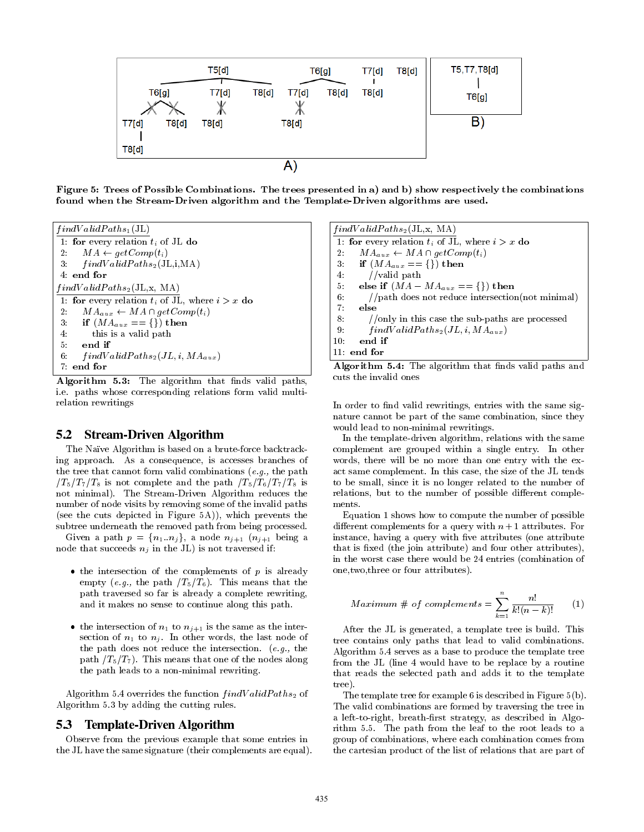![](_page_5_Figure_0.jpeg)

Figure 5: Trees of Possible Combinations. The trees presented in a) and b) show respectively the combinations found when the Stream-Driven algorithm and the Template-Driven algorithms are used.

| $findValidPaths_1(JL)$                              |
|-----------------------------------------------------|
| 1: for every relation $t_i$ of JL do                |
| 2: $MA \leftarrow getComp(t_i)$                     |
| 3. $findValidPaths_2(JL,i,MA)$                      |
| $4:$ end for                                        |
| $findValidPaths_2(JL, x, MA)$                       |
| 1: for every relation $t_i$ of JL, where $i > x$ do |
| $MA_{aux} \leftarrow MA \cap getComp(t_i)$<br>2:    |
| 3: if $(MA_{aux} == \{\})$ then                     |
| 4:<br>this is a valid path                          |
| $5 -$<br>end if                                     |
| 6:<br>$findValidPaths_2(JL, i, MA_{aux})$           |
| $7.$ end for                                        |

Algorithm 5.3: The algorithm that finds valid paths, i.e. paths whose corresponding relations form valid multirelation rewritings

#### 5.2 Stream-Driven Algorithm

The Naïve Algorithm is based on a brute-force backtracking approach. As a consequence, is accesses branches of the tree that cannot form valid combinations  $(e,q)$ , the path  $/T_5/T_7/T_8$  is not complete and the path  $/T_5/T_6/T_7/T_8$  is not minimal). The Stream-Driven Algorithm reduces the number of node visits by removing some of the invalid paths (see the cuts depicted in Figure 5A)), which prevents the subtree underneath the removed path from being processed.

Given a path  $p = \{n_1..n_j\}$ , a node  $n_{j+1}$   $(n_{j+1}$  being a node that succeeds  $n_j$  in the JL) is not traversed if:

- $\bullet$  the intersection of the complements of p is already empty (e.g., the path  $/T_5/T_6$ ). This means that the path traversed so far is already a complete rewriting, and it makes no sense to continue along this path.
- the intersection of  $n_1$  to  $n_{j+1}$  is the same as the intersection of  $n_1$  to  $n_i$ . In other words, the last node of the path does not reduce the intersection. (e.g., the path  $/T_5/T_7$ . This means that one of the nodes along the path leads to a non-minimal rewriting.

Algorithm 5.4 overrides the function  $findValidPaths_2$  of Algorithm 5.3 by adding the cutting rules.

#### 5.3 Template-Driven Algorithm

Observe from the previous example that some entries in the JL have the same signature (their complements are equal).

| $findValidPaths_2(JL, x, MA)$                            |
|----------------------------------------------------------|
| 1: for every relation $t_i$ of JL, where $i > x$ do      |
| $MA_{aux} \leftarrow MA \cap getComp(t_i)$<br>$2$ .      |
| 3: if $(MA_{aux} == \{\})$ then                          |
| //valid path<br>4:                                       |
| else if $(MA - MA_{aux} == \{\})$ then<br>5.             |
| $//path$ does not reduce intersection(not minimal)<br>6: |
| 7.<br>else                                               |
| 8.<br>//only in this case the sub-paths are processed    |
| 9:<br>$findValidPaths_2(JL, i, MA_{aux})$                |
| end if<br>10:                                            |
| $11:$ end for                                            |
|                                                          |

Algorithm 5.4: The algorithm that finds valid paths and cuts the invalid ones

In order to find valid rewritings, entries with the same signature cannot be part of the same combination, since they would lead to non-minimal rewritings.

In the template-driven algorithm, relations with the same complement are grouped within a single entry. In other words, there will be no more than one entry with the exact same complement. In this case, the size of the JL tends to be small, since it is no longer related to the number of relations, but to the number of possible different complements.

Equation 1 shows how to compute the number of possible different complements for a query with  $n+1$  attributes. For instance, having a query with five attributes (one attribute that is fixed (the join attribute) and four other attributes), in the worst case there would be 24 entries (combination of one,two,three or four attributes).

$$
Maximum \# of complements = \sum_{k=1}^{n} \frac{n!}{k!(n-k)!} \qquad (1)
$$

After the JL is generated, a template tree is build. This tree contains only paths that lead to valid combinations. Algorithm 5.4 serves as a base to produce the template tree from the JL (line 4 would have to be replace by a routine that reads the selected path and adds it to the template tree).

The template tree for example 6 is described in Figure 5(b). The valid combinations are formed by traversing the tree in a left-to-right, breath-first strategy, as described in Algorithm 5.5. The path from the leaf to the root leads to a group of combinations, where each combination comes from the cartesian product of the list of relations that are part of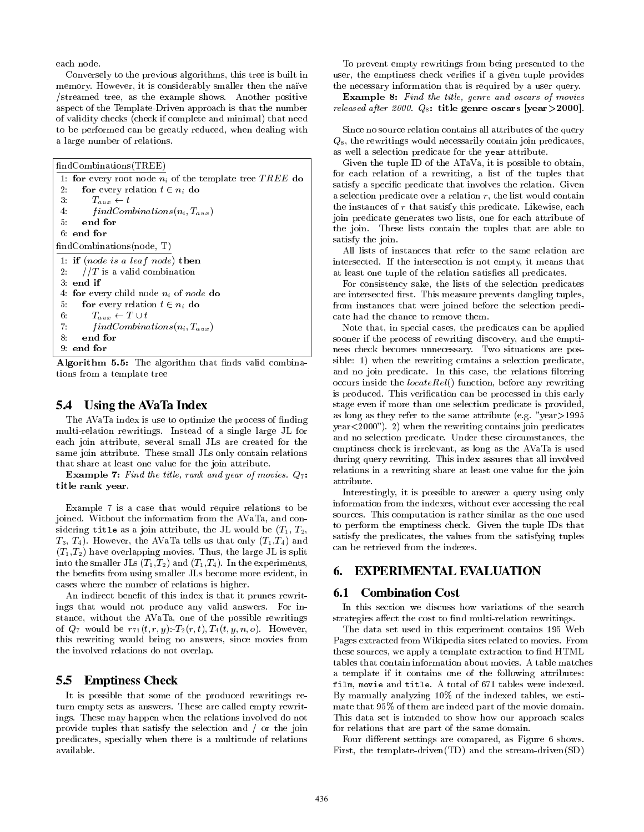each node.

Conversely to the previous algorithms, this tree is built in memory. However, it is considerably smaller then the nave /streamed tree, as the example shows. Another positive aspect of the Template-Driven approach is that the number of validity checks (check if complete and minimal) that need to be performed can be greatly reduced, when dealing with a large number of relations.

findCombinations(TREE)

1: for every root node  $n_i$  of the template tree TREE do<br>2. for every relation  $t \in n_i$  do 2: **for** every relation  $t \in n_i$  do<br>3:  $T_{\text{core}} \leftarrow t$ 3:  $T_{aux} \leftarrow t$ <br>4:  $findCom$ 4:  $findCombinations(n_i, T_{aux})$ <br>5: end for end for 6: end for  $\operatorname{findCombinations}(\operatorname{node},\, \mathrm{T})$ 1: if (node is a leaf node) then 2:  $//T$  is a valid combination 3: end if 4: **for** every child node  $n_i$  of node **do**<br>5: **for** every relation  $t \in n_i$  **do** 5: **for** every relation  $t \in n_i$  do<br>6:  $T_{aux} \leftarrow T \cup t$ 6:  $T_{aux} \leftarrow T \cup t$ <br>7:  $findCombina$ 7:  $findCombinations(n_i, T_{aux})$ <br>8: **end for** end for 9: end for

Algorithm 5.5: The algorithm that finds valid combinations from a template tree

#### 5.4 Using the AVaTa Index

The AVaTa index is use to optimize the process of finding multi-relation rewritings. Instead of a single large JL for each join attribute, several small JLs are created for the same join attribute. These small JLs only contain relations that share at least one value for the join attribute.

**Example 7:** Find the title, rank and year of movies.  $Q_7$ : title rank year.

Example 7 is a case that would require relations to be joined. Without the information from the AVaTa, and considering title as a join attribute, the JL would be  $(T_1, T_2,$  $T_3, T_4$ ). However, the AVaTa tells us that only  $(T_1, T_4)$  and  $(T_1,T_2)$  have overlapping movies. Thus, the large JL is split into the smaller JLs  $(T_1,T_2)$  and  $(T_1,T_4)$ . In the experiments, the benets from using smaller JLs become more evident, in cases where the number of relations is higher.

An indirect benet of this index is that it prunes rewritings that would not produce any valid answers. For instance, without the AVaTa, one of the possible rewritings of  $Q_7$  would be  $r_{71}(t, r, y)$ :  $T_2(r, t)$ ,  $T_4(t, y, n, o)$ . However, this rewriting would bring no answers, since movies from the involved relations do not overlap.

#### 5.5 Emptiness Check

It is possible that some of the produced rewritings return empty sets as answers. These are called empty rewritings. These may happen when the relations involved do not provide tuples that satisfy the selection and / or the join predicates, specially when there is a multitude of relations available.

To prevent empty rewritings from being presented to the user, the emptiness check verifies if a given tuple provides the necessary information that is required by a user query.

Example 8: Find the title, genre and oscars of movies released after 2000.  $Q_8$ : title genre oscars [year > 2000].

Since no source relation contains all attributes of the query  $Q_8$ , the rewritings would necessarily contain join predicates, as well a selection predicate for the year attribute.

Given the tuple ID of the ATaVa, it is possible to obtain, for each relation of a rewriting, a list of the tuples that satisfy a specific predicate that involves the relation. Given a selection predicate over a relation  $r$ , the list would contain the instances of  $r$  that satisfy this predicate. Likewise, each join predicate generates two lists, one for each attribute of the join. These lists contain the tuples that are able to satisfy the join.

All lists of instances that refer to the same relation are intersected. If the intersection is not empty, it means that at least one tuple of the relation satisfies all predicates.

For consistency sake, the lists of the selection predicates are intersected first. This measure prevents dangling tuples, from instances that were joined before the selection predicate had the chance to remove them.

Note that, in special cases, the predicates can be applied sooner if the process of rewriting discovery, and the emptiness check becomes unnecessary. Two situations are possible: 1) when the rewriting contains a selection predicate, and no join predicate. In this case, the relations filtering occurs inside the  $locateRel()$  function, before any rewriting is produced. This verification can be processed in this early stage even if more than one selection predicate is provided, as long as they refer to the same attribute (e.g. "year>1995 year<2000"). 2) when the rewriting contains join predicates and no selection predicate. Under these circumstances, the emptiness check is irrelevant, as long as the AVaTa is used during query rewriting. This index assures that all involved relations in a rewriting share at least one value for the join attribute.

Interestingly, it is possible to answer a query using only information from the indexes, without ever accessing the real sources. This computation is rather similar as the one used to perform the emptiness check. Given the tuple IDs that satisfy the predicates, the values from the satisfying tuples can be retrieved from the indexes.

# 6. EXPERIMENTAL EVALUATION

#### 6.1 Combination Cost

In this section we discuss how variations of the search strategies affect the cost to find multi-relation rewritings.

The data set used in this experiment contains 195 Web Pages extracted from Wikipedia sites related to movies. From these sources, we apply a template extraction to find HTML tables that contain information about movies. A table matches a template if it contains one of the following attributes: film, movie and title. A total of 671 tables were indexed. By manually analyzing 10% of the indexed tables, we estimate that 95% of them are indeed part of the movie domain. This data set is intended to show how our approach scales for relations that are part of the same domain.

Four different settings are compared, as Figure 6 shows. First, the template-driven(TD) and the stream-driven(SD)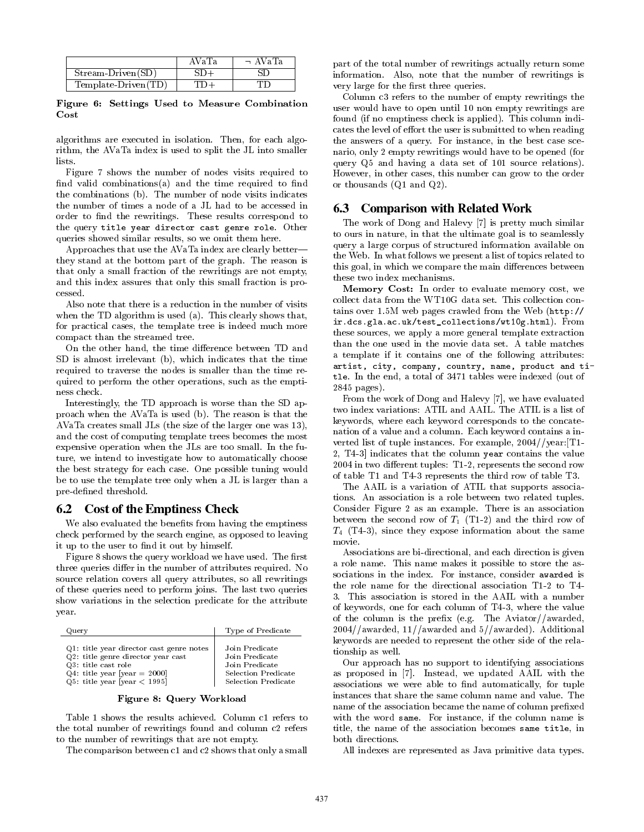|                     | AVa' | − AVaTa |
|---------------------|------|---------|
| Stream-Driven(SD)   |      |         |
| Template-Driven(TD) |      |         |

Figure 6: Settings Used to Measure Combination Cost

algorithms are executed in isolation. Then, for each algorithm, the AVaTa index is used to split the JL into smaller lists.

Figure 7 shows the number of nodes visits required to find valid combinations(a) and the time required to find the combinations (b). The number of node visits indicates the number of times a node of a JL had to be accessed in order to find the rewritings. These results correspond to the query title year director cast genre role. Other queries showed similar results, so we omit them here.

Approaches that use the AVaTa index are clearly better| they stand at the bottom part of the graph. The reason is that only a small fraction of the rewritings are not empty, and this index assures that only this small fraction is processed.

Also note that there is a reduction in the number of visits when the TD algorithm is used (a). This clearly shows that, for practical cases, the template tree is indeed much more compact than the streamed tree.

On the other hand, the time difference between TD and SD is almost irrelevant (b), which indicates that the time required to traverse the nodes is smaller than the time required to perform the other operations, such as the emptiness check.

Interestingly, the TD approach is worse than the SD approach when the AVaTa is used (b). The reason is that the AVaTa creates small JLs (the size of the larger one was 13), and the cost of computing template trees becomes the most expensive operation when the JLs are too small. In the future, we intend to investigate how to automatically choose the best strategy for each case. One possible tuning would be to use the template tree only when a JL is larger than a pre-defined threshold.

#### 6.2 Cost of the Emptiness Check

We also evaluated the benefits from having the emptiness check performed by the search engine, as opposed to leaving it up to the user to find it out by himself.

Figure 8 shows the query workload we have used. The first three queries differ in the number of attributes required. No source relation covers all query attributes, so all rewritings of these queries need to perform joins. The last two queries show variations in the selection predicate for the attribute year.

| Query                                    | Type of Predicate   |
|------------------------------------------|---------------------|
| Q1: title year director cast genre notes | Join Predicate      |
| Q2: title genre director year cast       | Join Predicate      |
| Q3: title cast role                      | Join Predicate      |
| $Q4$ : title year [year = 2000]          | Selection Predicate |
| $Q5$ : title year [year $<$ 1995]        | Selection Predicate |

Figure 8: Query Workload

Table 1 shows the results achieved. Column c1 refers to the total number of rewritings found and column c2 refers to the number of rewritings that are not empty.

The comparison between c1 and c2 shows that only a small

part of the total number of rewritings actually return some information. Also, note that the number of rewritings is very large for the first three queries.

Column c3 refers to the number of empty rewritings the user would have to open until 10 non empty rewritings are found (if no emptiness check is applied). This column indicates the level of effort the user is submitted to when reading the answers of a query. For instance, in the best case scenario, only 2 empty rewritings would have to be opened (for query Q5 and having a data set of 101 source relations). However, in other cases, this number can grow to the order or thousands (Q1 and Q2).

### 6.3 Comparison with Related Work

The work of Dong and Halevy [7] is pretty much similar to ours in nature, in that the ultimate goal is to seamlessly query a large corpus of structured information available on the Web. In what follows we present a list of topics related to this goal, in which we compare the main differences between these two index mechanisms.

Memory Cost: In order to evaluate memory cost, we collect data from the WT10G data set. This collection contains over 1.5M web pages crawled from the Web (http:// ir.dcs.gla.ac.uk/test\_collections/wt10g.html). From these sources, we apply a more general template extraction than the one used in the movie data set. A table matches a template if it contains one of the following attributes: artist, city, company, country, name, product and title. In the end, a total of 3471 tables were indexed (out of 2845 pages).

From the work of Dong and Halevy [7], we have evaluated two index variations: ATIL and AAIL. The ATIL is a list of keywords, where each keyword corresponds to the concatenation of a value and a column. Each keyword contains a inverted list of tuple instances. For example, 2004//year:[T1- 2, T4-3] indicates that the column year contains the value  $2004$  in two different tuples: T1-2, represents the second row of table T1 and T4-3 represents the third row of table T3.

The AAIL is a variation of ATIL that supports associations. An association is a role between two related tuples. Consider Figure 2 as an example. There is an association between the second row of  $T_1$  (T1-2) and the third row of  $T_4$  (T4-3), since they expose information about the same movie.

Associations are bi-directional, and each direction is given a role name. This name makes it possible to store the associations in the index. For instance, consider awarded is the role name for the directional association T1-2 to T4- 3. This association is stored in the AAIL with a number of keywords, one for each column of T4-3, where the value of the column is the prefix (e.g. The Aviator//awarded, 2004//awarded, 11//awarded and 5//awarded). Additional keywords are needed to represent the other side of the relationship as well.

Our approach has no support to identifying associations as proposed in [7]. Instead, we updated AAIL with the associations we were able to find automatically, for tuple instances that share the same column name and value. The name of the association became the name of column prefixed with the word same. For instance, if the column name is title, the name of the association becomes same title, in both directions.

All indexes are represented as Java primitive data types.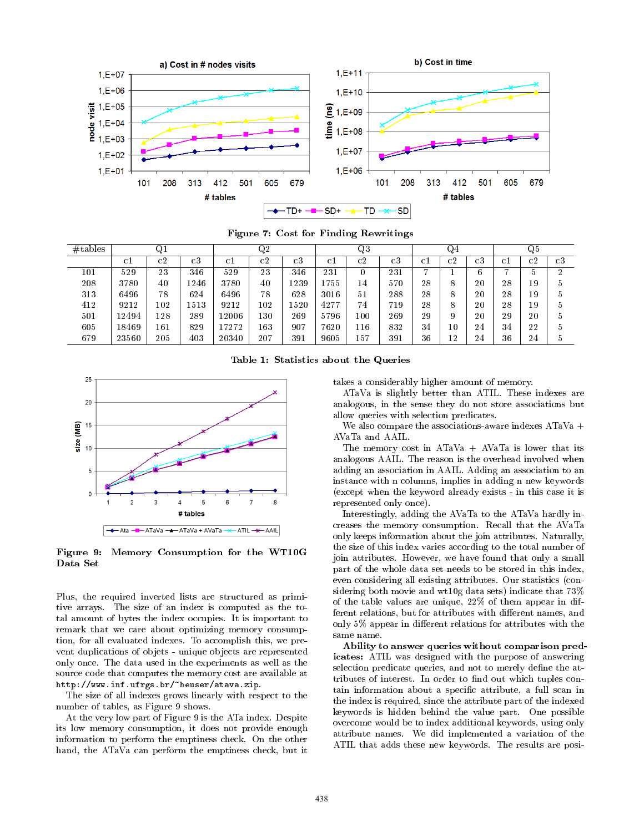![](_page_8_Figure_0.jpeg)

Figure 7: Cost for Finding Rewritings

| # tables |       | Q1  |      |       | Q2  |             |      | Q3  |             |      | Q4 |             |                | Q5 |             |
|----------|-------|-----|------|-------|-----|-------------|------|-----|-------------|------|----|-------------|----------------|----|-------------|
|          | c1    | c2  | c3   | сl    | c2  | $_{\rm c3}$ | c1   | c2  | $_{\rm c3}$ | -c 1 | c2 | $_{\rm c3}$ | Сl             | c2 | $_{\rm c3}$ |
| 101      | 529   | 23  | 346  | 529   | 23  | 346         | 231  |     | 231         | −    |    | 6           | $\overline{ }$ | 5  | റ           |
| 208      | 3780  | 40  | 1246 | 3780  | 40  | 1239        | 755  | 14  | 570         | 28   | 8  | 20          | 28             | 19 | b           |
| 313      | 6496  | 78  | 624  | 6496  | 78  | 628         | 3016 | 51  | 288         | 28   | 8  | 20          | 28             | 19 | b           |
| 412      | 9212  | 102 | 1513 | 9212  | 102 | 1520        | 4277 | 74  | 719         | 28   | 8  | 20          | 28             | 19 | b           |
| 501      | 12494 | 128 | 289  | 2006  | 130 | 269         | 5796 | 100 | 269         | 29   | 9  | 20          | 29             | 20 | b           |
| 605      | 18469 | 161 | 829  | 7272  | 163 | 907         | 7620 | 116 | 832         | 34   | 10 | 24          | 34             | 22 | 5           |
| 679      | 23560 | 205 | 403  | 20340 | 207 | 391         | 9605 | 157 | 391         | 36   | 12 | 24          | 36             | 24 | b           |

Table 1: Statistics about the Queries

![](_page_8_Figure_4.jpeg)

Figure 9: Memory Consumption for the WT10G Data Set

Plus, the required inverted lists are structured as primitive arrays. The size of an index is computed as the total amount of bytes the index occupies. It is important to remark that we care about optimizing memory consumption, for all evaluated indexes. To accomplish this, we prevent duplications of objets - unique objects are represented only once. The data used in the experiments as well as the source code that computes the memory cost are available at http://www.inf.ufrgs.br/~heuser/atava.zip.

The size of all indexes grows linearly with respect to the number of tables, as Figure 9 shows.

At the very low part of Figure 9 is the ATa index. Despite its low memory consumption, it does not provide enough information to perform the emptiness check. On the other hand, the ATaVa can perform the emptiness check, but it

takes a considerably higher amount of memory.

ATaVa is slightly better than ATIL. These indexes are analogous, in the sense they do not store associations but allow queries with selection predicates.

We also compare the associations-aware indexes ATaVa + AVaTa and AAIL.

The memory cost in  $ATaVa + AVaTa$  is lower that its analogous AAIL. The reason is the overhead involved when adding an association in AAIL. Adding an association to an instance with n columns, implies in adding n new keywords (except when the keyword already exists - in this case it is represented only once).

Interestingly, adding the AVaTa to the ATaVa hardly increases the memory consumption. Recall that the AVaTa only keeps information about the join attributes. Naturally, the size of this index varies according to the total number of join attributes. However, we have found that only a small part of the whole data set needs to be stored in this index, even considering all existing attributes. Our statistics (considering both movie and wt10g data sets) indicate that 73% of the table values are unique, 22% of them appear in different relations, but for attributes with different names, and only  $5\%$  appear in different relations for attributes with the same name.

Ability to answer queries without comparison predicates: ATIL was designed with the purpose of answering selection predicate queries, and not to merely define the attributes of interest. In order to find out which tuples contain information about a specic attribute, a full scan in the index is required, since the attribute part of the indexed keywords is hidden behind the value part. One possible overcome would be to index additional keywords, using only attribute names. We did implemented a variation of the ATIL that adds these new keywords. The results are posi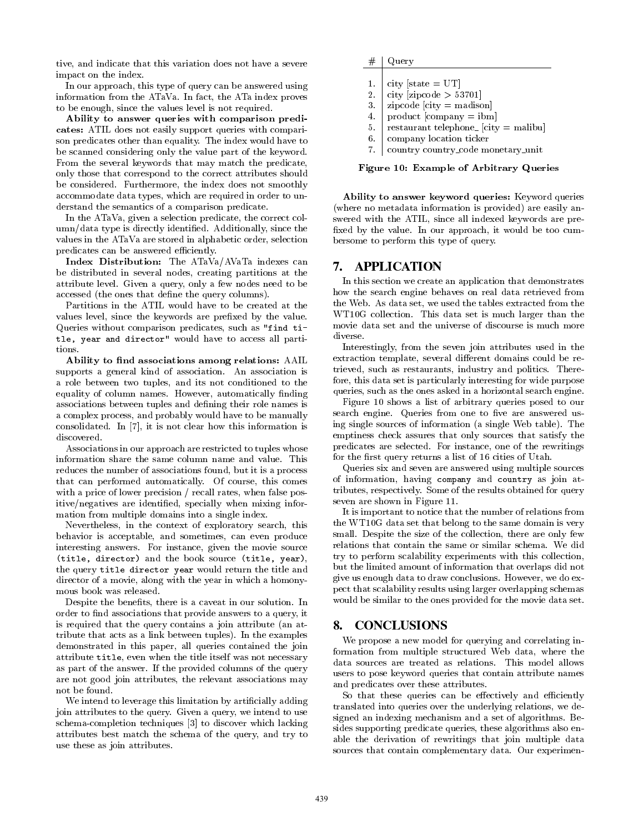tive, and indicate that this variation does not have a severe impact on the index.

In our approach, this type of query can be answered using information from the ATaVa. In fact, the ATa index proves to be enough, since the values level is not required.

Ability to answer queries with comparison predicates: ATIL does not easily support queries with comparison predicates other than equality. The index would have to be scanned considering only the value part of the keyword. From the several keywords that may match the predicate, only those that correspond to the correct attributes should be considered. Furthermore, the index does not smoothly accommodate data types, which are required in order to understand the semantics of a comparison predicate.

In the ATaVa, given a selection predicate, the correct column/data type is directly identied. Additionally, since the values in the ATaVa are stored in alphabetic order, selection predicates can be answered efficiently.

Index Distribution: The ATaVa/AVaTa indexes can be distributed in several nodes, creating partitions at the attribute level. Given a query, only a few nodes need to be accessed (the ones that define the query columns).

Partitions in the ATIL would have to be created at the values level, since the keywords are prefixed by the value. Queries without comparison predicates, such as "find title, year and director" would have to access all partitions.

Ability to find associations among relations: AAIL supports a general kind of association. An association is a role between two tuples, and its not conditioned to the equality of column names. However, automatically finding associations between tuples and defining their role names is a complex process, and probably would have to be manually consolidated. In [7], it is not clear how this information is discovered.

Associations in our approach are restricted to tuples whose information share the same column name and value. This reduces the number of associations found, but it is a process that can performed automatically. Of course, this comes with a price of lower precision / recall rates, when false positive/negatives are identied, specially when mixing information from multiple domains into a single index.

Nevertheless, in the context of exploratory search, this behavior is acceptable, and sometimes, can even produce interesting answers. For instance, given the movie source (title, director) and the book source (title, year), the query title director year would return the title and director of a movie, along with the year in which a homonymous book was released.

Despite the benefits, there is a caveat in our solution. In order to find associations that provide answers to a query, it is required that the query contains a join attribute (an attribute that acts as a link between tuples). In the examples demonstrated in this paper, all queries contained the join attribute title, even when the title itself was not necessary as part of the answer. If the provided columns of the query are not good join attributes, the relevant associations may not be found.

We intend to leverage this limitation by artificially adding join attributes to the query. Given a query, we intend to use schema-completion techniques [3] to discover which lacking attributes best match the schema of the query, and try to use these as join attributes.

|                    | Query                                               |
|--------------------|-----------------------------------------------------|
|                    |                                                     |
| 1.                 | city [state $= UT$ ]                                |
| 2.                 | city [zipcode $> 53701$ ]                           |
| 3.                 | $zipcode$ [city = madison]                          |
| $\boldsymbol{4}$ . | $product$ [company = ibm]                           |
| 5.                 | restaurant telephone <sub>-</sub> $[city =$ malibul |
| 6.                 | company location ticker                             |
|                    |                                                     |

7. country country code monetary unit

Figure 10: Example of Arbitrary Queries

Ability to answer keyword queries: Keyword queries (where no metadata information is provided) are easily answered with the ATIL, since all indexed keywords are pre fixed by the value. In our approach, it would be too cumbersome to perform this type of query.

#### 7. APPLICATION

In this section we create an application that demonstrates how the search engine behaves on real data retrieved from the Web. As data set, we used the tables extracted from the WT10G collection. This data set is much larger than the movie data set and the universe of discourse is much more diverse.

Interestingly, from the seven join attributes used in the extraction template, several different domains could be retrieved, such as restaurants, industry and politics. Therefore, this data set is particularly interesting for wide purpose queries, such as the ones asked in a horizontal search engine.

Figure 10 shows a list of arbitrary queries posed to our search engine. Queries from one to five are answered using single sources of information (a single Web table). The emptiness check assures that only sources that satisfy the predicates are selected. For instance, one of the rewritings for the first query returns a list of 16 cities of Utah.

Queries six and seven are answered using multiple sources of information, having company and country as join attributes, respectively. Some of the results obtained for query seven are shown in Figure 11.

It is important to notice that the number of relations from the WT10G data set that belong to the same domain is very small. Despite the size of the collection, there are only few relations that contain the same or similar schema. We did try to perform scalability experiments with this collection, but the limited amount of information that overlaps did not give us enough data to draw conclusions. However, we do expect that scalability results using larger overlapping schemas would be similar to the ones provided for the movie data set.

#### 8. CONCLUSIONS

We propose a new model for querying and correlating information from multiple structured Web data, where the data sources are treated as relations. This model allows users to pose keyword queries that contain attribute names and predicates over these attributes.

So that these queries can be effectively and efficiently translated into queries over the underlying relations, we designed an indexing mechanism and a set of algorithms. Besides supporting predicate queries, these algorithms also enable the derivation of rewritings that join multiple data sources that contain complementary data. Our experimen-